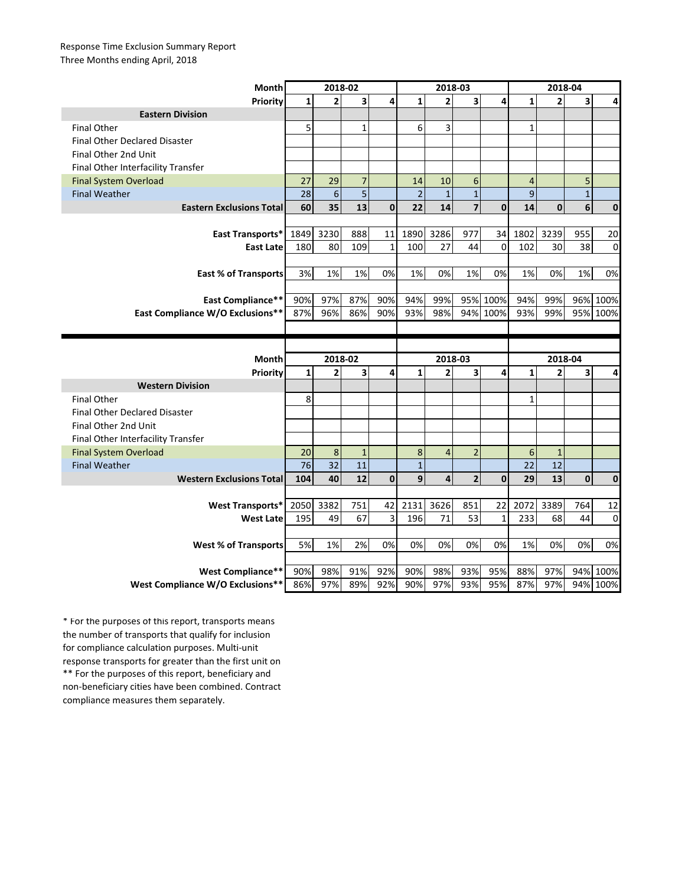## Response Time Exclusion Summary Report Three Months ending April, 2018

| Month                                                 | 2018-02      |                |                |              | 2018-03        |                |                         |              | 2018-04        |                |              |                  |
|-------------------------------------------------------|--------------|----------------|----------------|--------------|----------------|----------------|-------------------------|--------------|----------------|----------------|--------------|------------------|
| <b>Priority</b>                                       | $\mathbf{1}$ | $\overline{2}$ | 3              | 4            | $\mathbf{1}$   | $\overline{2}$ | $\overline{\mathbf{3}}$ | 4            | $\mathbf{1}$   | $\overline{2}$ | 3            | 4                |
| <b>Eastern Division</b>                               |              |                |                |              |                |                |                         |              |                |                |              |                  |
| <b>Final Other</b>                                    | 5            |                | 1              |              | 6              | 3              |                         |              | $\mathbf{1}$   |                |              |                  |
| <b>Final Other Declared Disaster</b>                  |              |                |                |              |                |                |                         |              |                |                |              |                  |
| Final Other 2nd Unit                                  |              |                |                |              |                |                |                         |              |                |                |              |                  |
| Final Other Interfacility Transfer                    |              |                |                |              |                |                |                         |              |                |                |              |                  |
| <b>Final System Overload</b>                          | 27           | 29             | $\overline{7}$ |              | 14             | 10             | 6                       |              | $\overline{4}$ |                | 5            |                  |
| <b>Final Weather</b>                                  | 28           | $6\phantom{1}$ | 5              |              | $\overline{2}$ | $\mathbf{1}$   | $\mathbf{1}$            |              | $\mathsf 9$    |                | $\mathbf{1}$ |                  |
| <b>Eastern Exclusions Total</b>                       | 60           | 35             | 13             | $\mathbf 0$  | 22             | 14             | $\overline{7}$          | $\mathbf 0$  | 14             | $\mathbf{0}$   | 6            | 0                |
|                                                       |              |                |                |              |                |                |                         |              |                |                |              |                  |
| East Transports*                                      | 1849         | 3230           | 888            | 11           | 1890           | 3286           | 977                     | 34           | 1802           | 3239           | 955          | 20               |
| <b>East Late</b>                                      | 180          | 80             | 109            | $\mathbf{1}$ | 100            | 27             | 44                      | $\mathbf 0$  | 102            | 30             | 38           | $\mathbf 0$      |
|                                                       |              |                |                |              |                |                |                         |              |                |                |              |                  |
| <b>East % of Transports</b>                           | 3%           | 1%             | 1%             | 0%           | 1%             | 0%             | 1%                      | 0%           | 1%             | 0%             | 1%           | 0%               |
|                                                       |              |                |                |              |                |                |                         |              |                |                |              |                  |
| <b>East Compliance**</b>                              | 90%          | 97%            | 87%            | 90%          | 94%            | 99%            |                         | 95% 100%     | 94%            | 99%            |              | 96% 100%         |
| East Compliance W/O Exclusions**                      | 87%          | 96%            | 86%            | 90%          | 93%            | 98%            |                         | 94% 100%     | 93%            | 99%            | 95%          | 100%             |
|                                                       |              |                |                |              |                |                |                         |              |                |                |              |                  |
|                                                       |              |                |                |              |                |                |                         |              |                |                |              |                  |
|                                                       |              |                |                |              |                |                |                         |              |                |                |              |                  |
| Month                                                 |              | $2018 - 02$    |                |              |                | 2018-03        |                         |              |                | 2018-04        |              |                  |
| Priority                                              | $\mathbf{1}$ | $\mathbf{2}$   | 3              | 4            | $\mathbf{1}$   | $\overline{2}$ | 3                       | 4            | $\mathbf{1}$   | $\overline{2}$ | 3            | 4                |
| <b>Western Division</b>                               |              |                |                |              |                |                |                         |              |                |                |              |                  |
| <b>Final Other</b>                                    | 8            |                |                |              |                |                |                         |              | $\mathbf{1}$   |                |              |                  |
| <b>Final Other Declared Disaster</b>                  |              |                |                |              |                |                |                         |              |                |                |              |                  |
| Final Other 2nd Unit                                  |              |                |                |              |                |                |                         |              |                |                |              |                  |
| Final Other Interfacility Transfer                    |              |                |                |              |                |                |                         |              |                |                |              |                  |
| <b>Final System Overload</b>                          | 20           | 8              | $\mathbf{1}$   |              | 8              | 4              | $\overline{2}$          |              | 6              | $\mathbf{1}$   |              |                  |
| <b>Final Weather</b>                                  | 76           | 32             | 11             |              | $\mathbf{1}$   |                |                         |              | 22             | 12             |              |                  |
| <b>Western Exclusions Total</b>                       | 104          | 40             | 12             | $\mathbf{0}$ | 9              | $\overline{4}$ | $\overline{2}$          | $\mathbf 0$  | 29             | 13             | $\bf{0}$     | $\mathbf 0$      |
|                                                       |              |                |                |              |                |                |                         |              |                |                |              |                  |
| <b>West Transports*</b>                               | 2050         | 3382           | 751            | 42           | 2131           | 3626           | 851                     | 22           | 2072           | 3389           | 764          | 12               |
| <b>West Late</b>                                      | 195          | 49             | 67             | 3            | 196            | 71             | 53                      | $\mathbf{1}$ | 233            | 68             | 44           | $\mathbf 0$      |
|                                                       |              |                |                |              |                |                |                         |              |                |                |              |                  |
| <b>West % of Transports</b>                           | 5%           | 1%             | 2%             | 0%           | 0%             | 0%             | 0%                      | 0%           | 1%             | 0%             | 0%           | 0%               |
|                                                       |              |                |                |              |                |                |                         |              |                |                |              |                  |
| West Compliance**<br>West Compliance W/O Exclusions** | 90%          | 98%<br>97%     | 91%<br>89%     | 92%<br>92%   | 90%<br>90%     | 98%<br>97%     | 93%<br>93%              | 95%<br>95%   | 88%<br>87%     | 97%<br>97%     | 94%          | 100%<br>94% 100% |

\*\* For the purposes of this report, beneficiary and non-beneficiary cities have been combined. Contract compliance measures them separately. \* For the purposes of this report, transports means the number of transports that qualify for inclusion for compliance calculation purposes. Multi-unit response transports for greater than the first unit on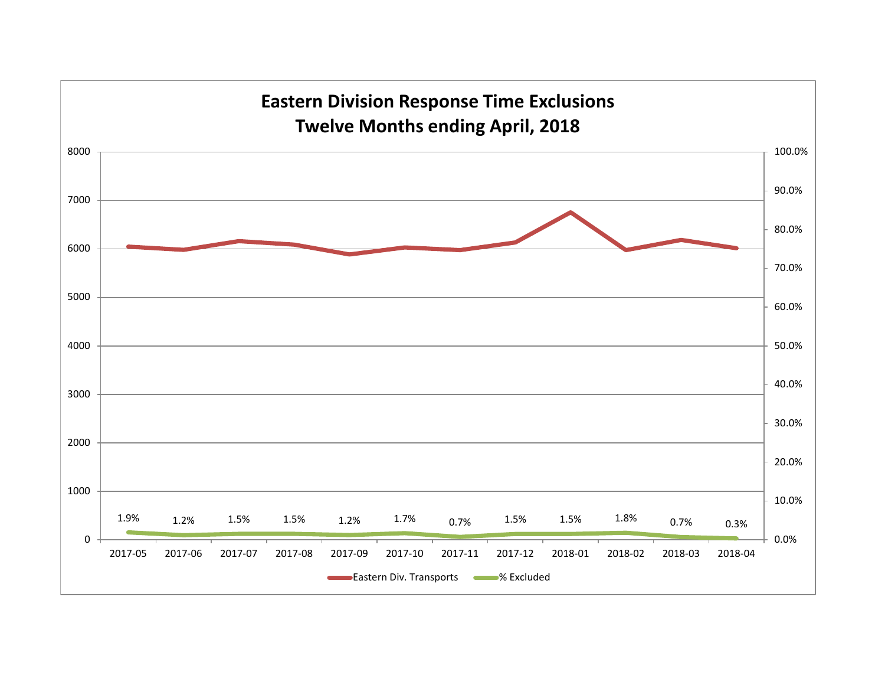